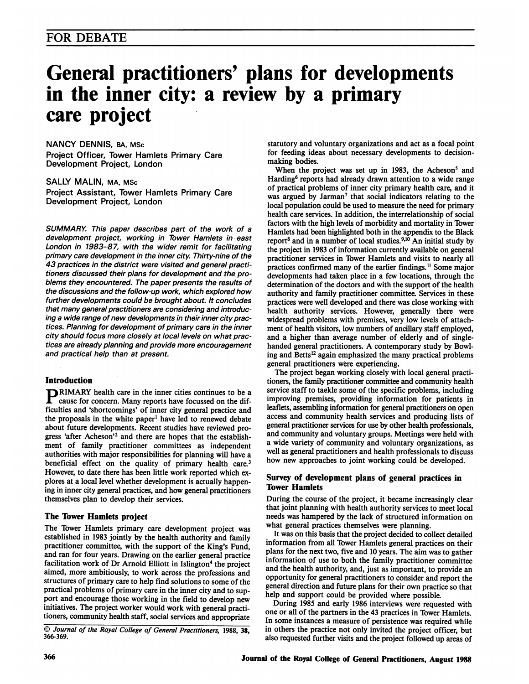# General practitioners' plans for developments in the inner city: a review by a primary care project

NANCY DENNIS, BA, MSc Project Officer, Tower Hamlets Primary Care Development Project, London

SALLY MALIN, MA, MSc Project Assistant, Tower Hamlets Primary Care Development Project, London

SUMMARY. This paper describes part of the work of a development project, working in Tower Hamlets in east London in 1983-87, with the wider remit for facilitating primary care development in the inner city. Thirty-nine of the 43 practices in the district were visited and general practitioners discussed their plans for development and the problems they encountered. The paper presents the results of the discussions and the follow-up work, which explored how further developments could be brought about. It concludes that many general practitioners are considering and introducing a wide range of new developments in their inner city practices. Planning for development of primary care in the inner city should focus more closely at local levels on what practices are already planning and provide more encouragement and practical help than at present.

## Introduction

**PRIMARY** health care in the inner cities continues to be a cause for concern. Many reports have focussed on the difficulties and 'shortcomings' of inner city general practice and the proposals in the white paper' have led to renewed debate about future developments. Recent studies have reviewed progress 'after Acheson'2 and there are hopes that the establishment of family practitioner committees as independent authorities with major responsibilities for planning will have a beneficial effect on the quality of primary health care.<sup>3</sup> However, to date there has been little work reported which explores at a local level whether development is actually happening in inner city general practices, and how general practitioners themselves plan to develop their services.

## The Tower Hamlets project

The Tower Hamlets primary care development project was established in 1983 jointly by the health authority and family practitioner committee, with the support of the King's Fund, and ran for four years. Drawing on the earlier general practice facilitation work of Dr Arnold Elliott in Islington<sup>4</sup> the project aimed, more ambitiously, to work across the professions and structures of primary care to help find solutions to some of the practical problems of primary care in the inner city and to support and encourage those working in the field to develop new initiatives. The project worker would work with general practitioners, community health staff, social services and appropriate

© Journal of the Royal College of General Practitioners, 1988, 38, 366-369.

statutory and voluntary organizations and act as a focal point for feeding ideas about necessary developments to decisionmaking bodies.

When the project was set up in 1983, the Acheson<sup>5</sup> and Harding<sup>6</sup> reports had already drawn attention to a wide range of practical problems of inner city primary health care, and it was argued by Jarman<sup>7</sup> that social indicators relating to the local population could be used to measure the need for primary health care services. In addition, the interrelationship of social factors with the high levels of morbidity and mortality in Tower Hamlets had been highlighted both in the appendix to the Black report<sup>8</sup> and in a number of local studies.<sup>9,10</sup> An initial study by the project in 1983 of information currently available on general practitioner services in Tower Hamlets and visits to nearly all practices confirmed many of the earlier findings.<sup>11</sup> Some major developments had taken place in a few locations, through the determination of the doctors and with the support of the health authority and family practitioner committee. Services in these practices were well developed and there was close working with health authority services. However, generally there were widespread problems with premises, very low levels of attachment of health visitors, low numbers of ancillary staff employed, and a higher than average number of elderly and of singlehanded general practitioners. A contemporary study by Bowling and Betts'2 again emphasized the many practical problems general practitioners were experiencing.

The project began working closely with local general practitioners, the family practitioner committee and community health service staff to taekle some of the specific problems, including improving premises, providing information for patients in leaflets, assembling information for general practitioners on open access and community health services and producing lists of general practitioner services for use by other health professionals, and community and voluntary groups. Meetings were held with a wide variety of community and voluntary organizations, as well as general practitioners and health professionals to discuss how new approaches to joint working could be developed.

### Survey of development plans of general practices in Tower Hamlets

During the course of the project, it became increasingly clear that joint planning with health authority services to meet local needs was hampered by the lack of structured information on what general practices themselves were planning.

It was on this basis that the project decided to collect detailed information from all Tower Hamlets general practices on their plans for the next two, five and 10 years. The aim was to gather information of use to both the family practitioner committee and the health authority, and, just as important, to provide an opportunity for general practitioners to consider and report the general direction and future plans for their own practice so that help and support could be provided where possible.

During 1985 and early 1986 interviews were requested with one or all of the partners in the 43 practices in Tower Hamlets. In some instances a measure of persistence was required while in others the practice not only invited the project officer, but also requested further visits and the project followed up areas of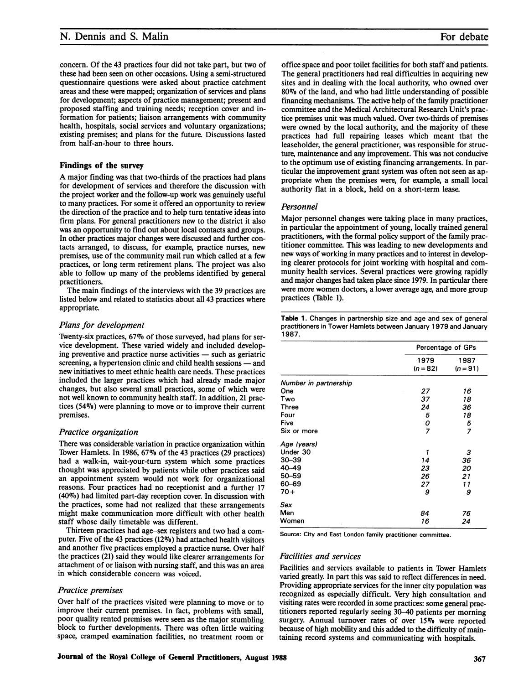## N. Dennis and S. Malin

concern. Of the 43 practices four did not take part, but two of these had been seen on other occasions. Using a semi-structured questionnaire questions were asked about practice catchment areas and these were mapped; organization of services and plans for development; aspects of practice management; present and proposed staffing and training needs; reception cover and information for patients; liaison arrangements with community health, hospitals, social services and voluntary organizations; existing premises; and plans for the future. Discussions lasted from half-an-hour to three hours.

#### Findings of the survey

A major finding was that two-thirds of the practices had plans for development of services and therefore the discussion with the project worker and the follow-up work was genuinely useful to many practices. For some it offered an opportunity to review the direction of the practice and to help turn tentative ideas into firm plans. For general practitioners new to the district it also was an opportunity to find out about local contacts and groups. In other practices major changes were discussed and further contacts arranged, to discuss, for example, practice nurses, new premises, use of the community mail run which called at a few practices, or long term retirement plans. The project was also able to follow up many of the problems identified by general practitioners.

The main findings of the interviews with the 39 practices are listed below and related to statistics about all 43 practices where appropriate.

#### Plans for development

Twenty-six practices, 67% of those surveyed, had plans for service development. These varied widely and included developing preventive and practice nurse activities  $-$  such as geriatric screening, a hypertension clinic and child health sessions  $-$  and new initiatives to meet ethnic health care needs. These practices included the larger practices which had already made major changes, but also several small practices, some of which were not well known to community health staff. In addition, 21 practices (54%) were planning to move or to improve their current premises.

#### Practice organization

There was considerable variation in practice organization within Tower Hamlets. In 1986, 67% of the 43 practices (29 practices) had a walk-in, wait-your-turn system which some practices thought was appreciated by patients while other practices said an appointment system would not work for organizational reasons. Four practices had no receptionist and a further 17 (4007) had limited part-day reception cover. In discussion with the practices, some had not realized that these arrangements might make communication more difficult with other health staff whose daily timetable was different.

Thirteen practices had age-sex registers and two had a computer. Five of the 43 practices (12%) had attached health visitors and another five practices employed a practice nurse. Over half the practices (21) said they would like clearer arrangements for attachment of or liaison with nursing staff, and this was an area in which considerable concern was voiced.

#### Practice premises

Over half of the practices visited were planning to move or to improve their current premises. In fact, problems with small, poor quality rented premises were seen as the major stumbling block to further developments. There was often little waiting space, cramped examination facilities, no treatment room or

office space and poor toilet facilities for both staff and patients. The general practitioners had real difficulties in acquiring new sites and in dealing with the local authority, who owned over 80% of the land, and who had little understanding of possible financing mechanisms. The active help of the family practitioner committee and the Medical Architectural Research Unit's practice premises unit was much valued. Over two-thirds of premises were owned by the local authority, and the majority of these practices had full repairing leases which meant that the leaseholder, the general practitioner, was responsible for structure, maintenance and any improvement. This was not conducive to the optimum use of existing financing arrangements. In particular the improvement grant system was often not seen as appropriate when the premises were, for example, a small local authority flat in a block, held on a short-term lease.

#### Personnel

Major personnel changes were taking place in many practices, in particular the appointment of young, locally trained general practitioners, with the formal policy support of the family practitioner committee. This was leading to new developments and new ways of working in many practices and to interest in developing clearer protocols for joint working with hospital and community health services. Several practices were growing rapidly and major changes had taken place since 1979. In particular there were more women doctors, a lower average age, and more group practices (Table 1).

Table 1. Changes in partnership size and age and sex of general practitioners in Tower Hamlets between January 1979 and January 1987.

|                       | Percentage of GPs  |                    |
|-----------------------|--------------------|--------------------|
|                       | 1979<br>$(n = 82)$ | 1987<br>$(n = 91)$ |
| Number in partnership |                    |                    |
| One                   | 27                 | 16                 |
| Two                   | 37                 | 18                 |
| <b>Three</b>          | 24                 | 36                 |
| Four                  | 5                  | 18                 |
| Five                  | ο                  | 5                  |
| Six or more           | 7                  | $\overline{z}$     |
| Age (years)           |                    |                    |
| Under 30              | 1                  | 3                  |
| $30 - 39$             | 14                 | 36                 |
| $40 - 49$             | 23                 | 20                 |
| $50 - 59$             | 26                 | 21                 |
| 60-69                 | 27                 | 11                 |
| $70+$                 | 9                  | 9                  |
| Sex                   |                    |                    |
| Men                   | 84                 | 76                 |
| Women<br>ż            | 16                 | 24                 |

Source: City and East London family practitioner committee.

#### Facilities and services

Facilities and services available to patients in Tower Hamlets varied greatly. In part this was said to reflect differences in need. Providing appropriate services for the inner city population was recognized as especially difficult. Very high consultation and visiting rates were recorded in some practices: some general practitioners reported regularly seeing 30-40 patients per morning surgery. Annual turnover rates of over 15% were reported because of high mobility and this added to the difficulty of maintaining record systems and communicating with hospitals.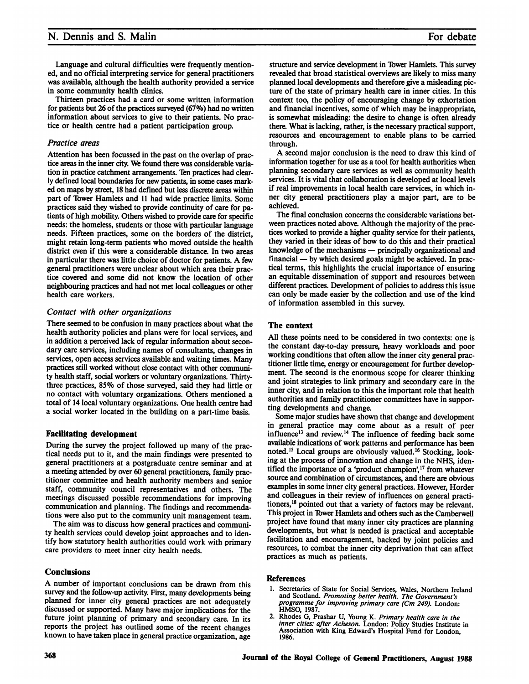Language and cultural difficulties were frequently mentioned, and no official interpreting service for general practitioners was available, although the health authority provided a service in some community health clinics.

Thirteen practices had a card or some written information for patients but 26 of the practices surveyed (67%) had no written information about services to give to their patients. No practice or health centre had a patient participation group.

#### Practice areas

Attention has been focussed in the past on the overlap of practice areas in the inner city. We found there was considerable variation in practice catchment arrangements. Ten practices had clearly defined local boundaries for new patients, in some cases marked on maps by street, 18 had defined but less discrete areas within part of Tower Hamlets and <sup>11</sup> had wide practice limits. Some practices said they wished to provide continuity of care for patients of high mobility. Others wished to provide care for specific needs: the homeless, students or those with particular language needs. Fifteen practices, some on the borders of the district, might retain long-term patients who moved outside the health district even if this were a considerable distance. In two areas in particular there was little choice of doctor for patients. A few general practitioners were unclear about which area their practice covered and some did not know the location of other neighbouring practices and had not met local colleagues or other health care workers.

### Contact with other organizations

There seemed to be confusion in many practices about what the health authority policies and plans were for local services, and in addition a perceived lack of regular information about secondary care services, including names of consultants, changes in services, open access services available and waiting times. Many practices still worked without close contact with other community health staff, social workers or voluntary organizations. Thirtythree practices, 85% of those surveyed, said they had little or no contact with voluntary organizations. Others mentioned a total of 14 local voluntary organizations. One health centre had a social worker located in the building on a part-time basis.

## Facilitating development

During the survey the project followed up many of the practical needs put to it, and the main findings were presented to general practitioners at a postgraduate centre seminar and at a meeting attended by over 60 general practitioners, family practitioner committee and health authority members and senior staff, community council representatives and others. The meetings discussed possible recommendations for improving communication and planning. The findings and recommendations were also put to the community unit management team.

The aim was to discuss how general practices and community health services could develop joint approaches and to identify how statutory health authorities could work with primary care providers to meet inner city health needs.

## **Conclusions**

A number of important conclusions can be drawn from this survey and the follow-up activity. First, many developments being planned for inner city general practices are not adequately discussed or supported. Many have major implications for the future joint planning of primary and secondary care. In its reports the project has outlined some of the recent changes known to have taken place in general practice organization, age structure and service development in Tower Hamlets. This survey revealed that broad statistical overviews are likely to miss many planned local developments and therefore give a misleading picture of the state of primary health care in inner cities. In this context too, the policy of encouraging change by exhortation and financial incentives, some of which may be inappropriate, is somewhat misleading: the desire to change is often already there. What is lacking, rather, is the necessary practical support, resources and encouragement to enable plans to be carried through.

A second major conclusion is the need to draw this kind of information together for use as a tool for health authorities when planning secondary care services as well as community health services. It is vital that collaboration is developed at local levels if real improvements in local health care services, in which inner city general practitioners play a major part, are to be achieved.

The final conclusion concerns the considerable variations between practices noted above. Although the majority of the practices worked to provide a higher quality service for their patients, they varied in their ideas of how to do this and their practical knowledge of the mechanisms — principally organizational and  $f$ inancial  $-$  by which desired goals might be achieved. In practical terms, this highlights the crucial importance of ensuring an equitable dissemination of support and resources between different practices. Development of policies to address this issue can only be made easier by the collection and use of the kind of information assembled in this survey.

### The context

All these points need to be considered in two contexts: one is the constant day-to-day pressure, heavy workloads and poor working conditions that often allow the inner city general practitioner little time, energy or encouragement for further development. The second is the enormous scope for clearer thinking and joint strategies to link primary and secondary care in the inner city, and in relation to this the important role that health authorities and family practitioner committees have in supporting developments and change.

Some major studies have shown that change and development in general practice may come about as a result of peer influence<sup>13</sup> and review.<sup>14</sup> The influence of feeding back some available indications of work patterns and performance has been noted.'5 Local groups are obviously valued.'6 Stocking, looking at the process of innovation and change in the NHS, identified the importance of a 'product champion',<sup>17</sup> from whatever source and combination of circumstances, and there are obvious examples in some inner city general practices. However, Horder and colleagues in their review of influences on general practitioners,<sup>18</sup> pointed out that a variety of factors may be relevant. This project in Tower Hamlets and others such as the Camberwell project have found that many inner city practices are planning developments, but what is needed is practical and acceptable facilitation and encouragement, backed by joint policies and resources, to combat the inner city deprivation that can affect practices as much as patients.

#### References

- 1. Secretaries of State for Social Services, Wales, Northern Ireland and Scotland. Promoting better health. The Government's programme for improving primary care (Cm 249). London: HMSO, 1987.
- 2. Rhodes G, Prashar U, Young K. Primary health care in the inner cities: after Acheson. London: Policy Studies Institute in Association with King Edward's Hospital Fund for London, 1986.